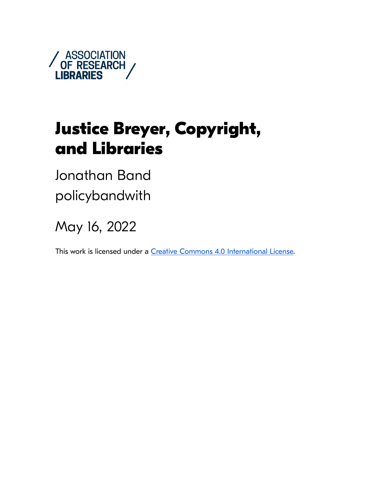

# **Justice Breyer, Copyright, and Libraries**

Jonathan Band policybandwith

May 16, 2022

This work is licensed under a [Creative Commons 4.0 International License.](https://creativecommons.org/licenses/by/4.0/)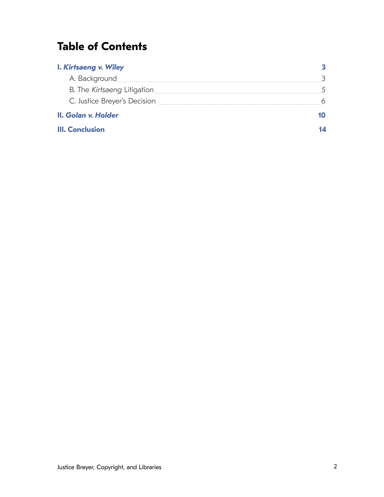## **Table of Contents**

| <b>I. Kirtsaeng v. Wiley</b> |  |
|------------------------------|--|
| A. Background                |  |
| B. The Kirtsaeng Litigation  |  |
| C. Justice Breyer's Decision |  |
| II. Golan v. Holder          |  |
| <b>III. Conclusion</b>       |  |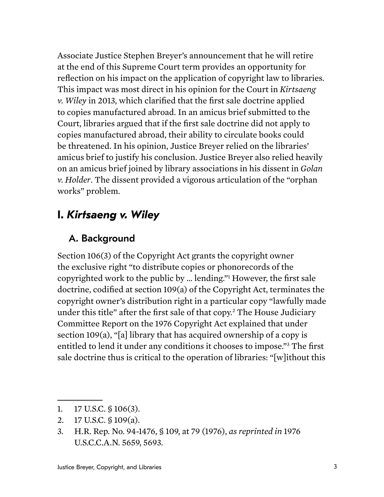<span id="page-2-0"></span>Associate Justice Stephen Breyer's announcement that he will retire at the end of this Supreme Court term provides an opportunity for reflection on his impact on the application of copyright law to libraries. This impact was most direct in his opinion for the Court in *Kirtsaeng v. Wiley* in 2013, which clarified that the first sale doctrine applied to copies manufactured abroad. In an amicus brief submitted to the Court, libraries argued that if the first sale doctrine did not apply to copies manufactured abroad, their ability to circulate books could be threatened. In his opinion, Justice Breyer relied on the libraries' amicus brief to justify his conclusion. Justice Breyer also relied heavily on an amicus brief joined by library associations in his dissent in *Golan v. Holder*. The dissent provided a vigorous articulation of the "orphan works" problem.

## **I.** *Kirtsaeng v. Wiley*

### A. Background

Section 106(3) of the Copyright Act grants the copyright owner the exclusive right "to distribute copies or phonorecords of the copyrighted work to the public by … lending."[1](#page-2-1) However, the first sale doctrine, codified at section 109(a) of the Copyright Act, terminates the copyright owner's distribution right in a particular copy "lawfully made under this title" after the first sale of that copy.[2](#page-2-2) The House Judiciary Committee Report on the 1976 Copyright Act explained that under section 109(a), "[a] library that has acquired ownership of a copy is entitled to lend it under any conditions it chooses to impose."[3](#page-2-3) The first sale doctrine thus is critical to the operation of libraries: "[w]ithout this

<span id="page-2-2"></span>2. 17 U.S.C. § 109(a).

<span id="page-2-1"></span><sup>1.</sup> 17 U.S.C. § 106(3).

<span id="page-2-3"></span><sup>3.</sup> H.R. Rep. No. 94-1476, § 109, at 79 (1976), *as reprinted in* 1976 U.S.C.C.A.N. 5659, 5693.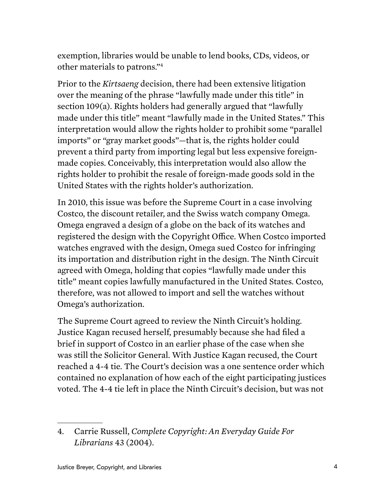exemption, libraries would be unable to lend books, CDs, videos, or other materials to patrons."[4](#page-3-0)

Prior to the *Kirtsaeng* decision, there had been extensive litigation over the meaning of the phrase "lawfully made under this title" in section 109(a). Rights holders had generally argued that "lawfully made under this title" meant "lawfully made in the United States." This interpretation would allow the rights holder to prohibit some "parallel imports" or "gray market goods"—that is, the rights holder could prevent a third party from importing legal but less expensive foreignmade copies. Conceivably, this interpretation would also allow the rights holder to prohibit the resale of foreign-made goods sold in the United States with the rights holder's authorization.

In 2010, this issue was before the Supreme Court in a case involving Costco, the discount retailer, and the Swiss watch company Omega. Omega engraved a design of a globe on the back of its watches and registered the design with the Copyright Office. When Costco imported watches engraved with the design, Omega sued Costco for infringing its importation and distribution right in the design. The Ninth Circuit agreed with Omega, holding that copies "lawfully made under this title" meant copies lawfully manufactured in the United States. Costco, therefore, was not allowed to import and sell the watches without Omega's authorization.

The Supreme Court agreed to review the Ninth Circuit's holding. Justice Kagan recused herself, presumably because she had filed a brief in support of Costco in an earlier phase of the case when she was still the Solicitor General. With Justice Kagan recused, the Court reached a 4-4 tie. The Court's decision was a one sentence order which contained no explanation of how each of the eight participating justices voted. The 4-4 tie left in place the Ninth Circuit's decision, but was not

<span id="page-3-0"></span><sup>4.</sup> Carrie Russell, *Complete Copyright: An Everyday Guide For Librarians* 43 (2004).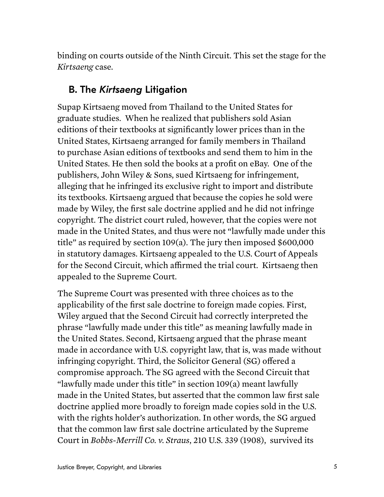<span id="page-4-0"></span>binding on courts outside of the Ninth Circuit. This set the stage for the *Kirtsaeng* case.

#### B. The *Kirtsaeng* Litigation

Supap Kirtsaeng moved from Thailand to the United States for graduate studies. When he realized that publishers sold Asian editions of their textbooks at significantly lower prices than in the United States, Kirtsaeng arranged for family members in Thailand to purchase Asian editions of textbooks and send them to him in the United States. He then sold the books at a profit on eBay. One of the publishers, John Wiley & Sons, sued Kirtsaeng for infringement, alleging that he infringed its exclusive right to import and distribute its textbooks. Kirtsaeng argued that because the copies he sold were made by Wiley, the first sale doctrine applied and he did not infringe copyright. The district court ruled, however, that the copies were not made in the United States, and thus were not "lawfully made under this title" as required by section 109(a). The jury then imposed \$600,000 in statutory damages. Kirtsaeng appealed to the U.S. Court of Appeals for the Second Circuit, which affirmed the trial court. Kirtsaeng then appealed to the Supreme Court.

The Supreme Court was presented with three choices as to the applicability of the first sale doctrine to foreign made copies. First, Wiley argued that the Second Circuit had correctly interpreted the phrase "lawfully made under this title" as meaning lawfully made in the United States. Second, Kirtsaeng argued that the phrase meant made in accordance with U.S. copyright law, that is, was made without infringing copyright. Third, the Solicitor General (SG) offered a compromise approach. The SG agreed with the Second Circuit that "lawfully made under this title" in section 109(a) meant lawfully made in the United States, but asserted that the common law first sale doctrine applied more broadly to foreign made copies sold in the U.S. with the rights holder's authorization. In other words, the SG argued that the common law first sale doctrine articulated by the Supreme Court in *Bobbs-Merrill Co. v. Straus*, 210 U.S. 339 (1908), survived its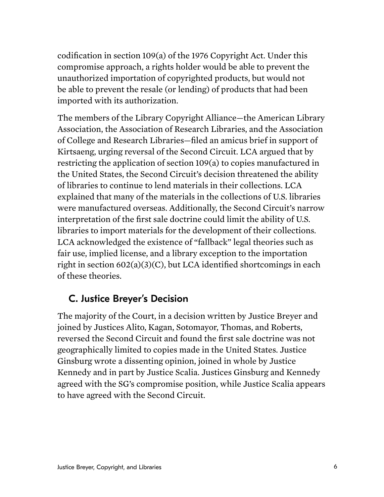<span id="page-5-0"></span>codification in section 109(a) of the 1976 Copyright Act. Under this compromise approach, a rights holder would be able to prevent the unauthorized importation of copyrighted products, but would not be able to prevent the resale (or lending) of products that had been imported with its authorization.

The members of the Library Copyright Alliance—the American Library Association, the Association of Research Libraries, and the Association of College and Research Libraries—filed an amicus brief in support of Kirtsaeng, urging reversal of the Second Circuit. LCA argued that by restricting the application of section 109(a) to copies manufactured in the United States, the Second Circuit's decision threatened the ability of libraries to continue to lend materials in their collections. LCA explained that many of the materials in the collections of U.S. libraries were manufactured overseas. Additionally, the Second Circuit's narrow interpretation of the first sale doctrine could limit the ability of U.S. libraries to import materials for the development of their collections. LCA acknowledged the existence of "fallback" legal theories such as fair use, implied license, and a library exception to the importation right in section 602(a)(3)(C), but LCA identified shortcomings in each of these theories.

#### C. Justice Breyer's Decision

The majority of the Court, in a decision written by Justice Breyer and joined by Justices Alito, Kagan, Sotomayor, Thomas, and Roberts, reversed the Second Circuit and found the first sale doctrine was not geographically limited to copies made in the United States. Justice Ginsburg wrote a dissenting opinion, joined in whole by Justice Kennedy and in part by Justice Scalia. Justices Ginsburg and Kennedy agreed with the SG's compromise position, while Justice Scalia appears to have agreed with the Second Circuit.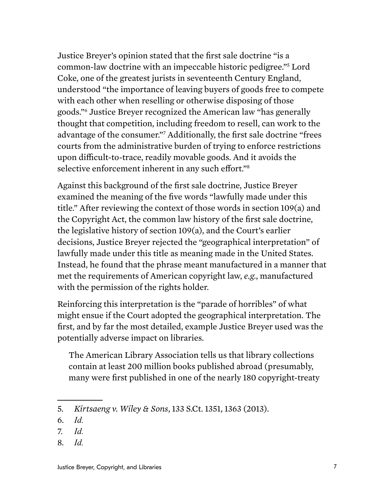Justice Breyer's opinion stated that the first sale doctrine "is a common-law doctrine with an impeccable historic pedigree."[5](#page-6-0) Lord Coke, one of the greatest jurists in seventeenth Century England, understood "the importance of leaving buyers of goods free to compete with each other when reselling or otherwise disposing of those goods."[6](#page-6-1) Justice Breyer recognized the American law "has generally thought that competition, including freedom to resell, can work to the advantage of the consumer.["7](#page-6-2) Additionally, the first sale doctrine "frees courts from the administrative burden of trying to enforce restrictions upon difficult-to-trace, readily movable goods. And it avoids the selective enforcement inherent in any such effort."<sup>[8](#page-6-3)</sup>

Against this background of the first sale doctrine, Justice Breyer examined the meaning of the five words "lawfully made under this title." After reviewing the context of those words in section 109(a) and the Copyright Act, the common law history of the first sale doctrine, the legislative history of section 109(a), and the Court's earlier decisions, Justice Breyer rejected the "geographical interpretation" of lawfully made under this title as meaning made in the United States. Instead, he found that the phrase meant manufactured in a manner that met the requirements of American copyright law, *e.g.*, manufactured with the permission of the rights holder.

Reinforcing this interpretation is the "parade of horribles" of what might ensue if the Court adopted the geographical interpretation. The first, and by far the most detailed, example Justice Breyer used was the potentially adverse impact on libraries.

The American Library Association tells us that library collections contain at least 200 million books published abroad (presumably, many were first published in one of the nearly 180 copyright-treaty

<span id="page-6-3"></span>8. *Id.*

<span id="page-6-0"></span><sup>5.</sup> *Kirtsaeng v. Wiley & Sons*, 133 S.Ct. 1351, 1363 (2013).

<span id="page-6-1"></span><sup>6.</sup> *Id.*

<span id="page-6-2"></span><sup>7.</sup> *Id.*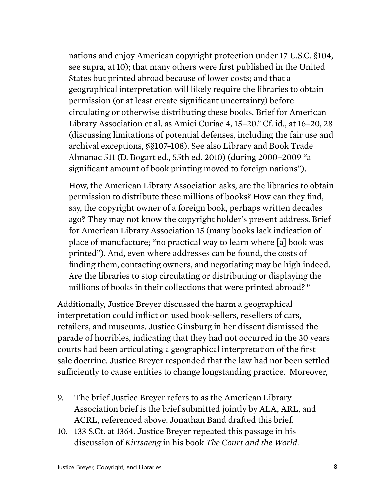nations and enjoy American copyright protection under 17 U.S.C. §104, see supra, at 10); that many others were first published in the United States but printed abroad because of lower costs; and that a geographical interpretation will likely require the libraries to obtain permission (or at least create significant uncertainty) before circulating or otherwise distributing these books. Brief for American Library Association et al. as Amici Curiae 4, 15–20.<sup>[9](#page-7-0)</sup> Cf. id., at 16–20, 28 (discussing limitations of potential defenses, including the fair use and archival exceptions, §§107–108). See also Library and Book Trade Almanac 511 (D. Bogart ed., 55th ed. 2010) (during 2000–2009 "a significant amount of book printing moved to foreign nations").

How, the American Library Association asks, are the libraries to obtain permission to distribute these millions of books? How can they find, say, the copyright owner of a foreign book, perhaps written decades ago? They may not know the copyright holder's present address. Brief for American Library Association 15 (many books lack indication of place of manufacture; "no practical way to learn where [a] book was printed"). And, even where addresses can be found, the costs of finding them, contacting owners, and negotiating may be high indeed. Are the libraries to stop circulating or distributing or displaying the millions of books in their collections that were printed abroad[?10](#page-7-1)

Additionally, Justice Breyer discussed the harm a geographical interpretation could inflict on used book-sellers, resellers of cars, retailers, and museums. Justice Ginsburg in her dissent dismissed the parade of horribles, indicating that they had not occurred in the 30 years courts had been articulating a geographical interpretation of the first sale doctrine. Justice Breyer responded that the law had not been settled sufficiently to cause entities to change longstanding practice. Moreover,

<span id="page-7-0"></span><sup>9.</sup> The brief Justice Breyer refers to as the American Library Association brief is the brief submitted jointly by ALA, ARL, and ACRL, referenced above. Jonathan Band drafted this brief.

<span id="page-7-1"></span><sup>10.</sup> 133 S.Ct. at 1364. Justice Breyer repeated this passage in his discussion of *Kirtsaeng* in his book *The Court and the World*.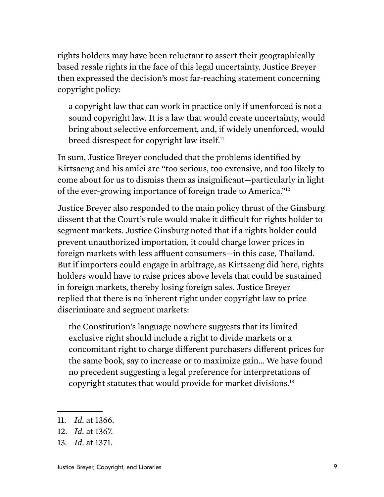rights holders may have been reluctant to assert their geographically based resale rights in the face of this legal uncertainty. Justice Breyer then expressed the decision's most far-reaching statement concerning copyright policy:

a copyright law that can work in practice only if unenforced is not a sound copyright law. It is a law that would create uncertainty, would bring about selective enforcement, and, if widely unenforced, would breed disrespect for copyright law itself.<sup>[11](#page-8-0)</sup>

In sum, Justice Breyer concluded that the problems identified by Kirtsaeng and his amici are "too serious, too extensive, and too likely to come about for us to dismiss them as insignificant—particularly in light of the ever-growing importance of foreign trade to America.["12](#page-8-1)

Justice Breyer also responded to the main policy thrust of the Ginsburg dissent that the Court's rule would make it difficult for rights holder to segment markets. Justice Ginsburg noted that if a rights holder could prevent unauthorized importation, it could charge lower prices in foreign markets with less affluent consumers—in this case, Thailand. But if importers could engage in arbitrage, as Kirtsaeng did here, rights holders would have to raise prices above levels that could be sustained in foreign markets, thereby losing foreign sales. Justice Breyer replied that there is no inherent right under copyright law to price discriminate and segment markets:

the Constitution's language nowhere suggests that its limited exclusive right should include a right to divide markets or a concomitant right to charge different purchasers different prices for the same book, say to increase or to maximize gain… We have found no precedent suggesting a legal preference for interpretations of copyright statutes that would provide for market divisions.[13](#page-8-2)

<span id="page-8-0"></span><sup>11.</sup> *Id.* at 1366.

<span id="page-8-1"></span><sup>12.</sup> *Id.* at 1367.

<span id="page-8-2"></span><sup>13.</sup> *Id.* at 1371.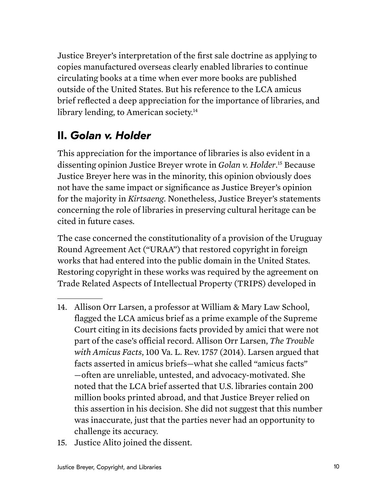<span id="page-9-0"></span>Justice Breyer's interpretation of the first sale doctrine as applying to copies manufactured overseas clearly enabled libraries to continue circulating books at a time when ever more books are published outside of the United States. But his reference to the LCA amicus brief reflected a deep appreciation for the importance of libraries, and library lending, to American society.<sup>14</sup>

## **II.** *Golan v. Holder*

This appreciation for the importance of libraries is also evident in a dissenting opinion Justice Breyer wrote in *Golan v. Holder*. [15](#page-9-2) Because Justice Breyer here was in the minority, this opinion obviously does not have the same impact or significance as Justice Breyer's opinion for the majority in *Kirtsaeng*. Nonetheless, Justice Breyer's statements concerning the role of libraries in preserving cultural heritage can be cited in future cases.

The case concerned the constitutionality of a provision of the Uruguay Round Agreement Act ("URAA") that restored copyright in foreign works that had entered into the public domain in the United States. Restoring copyright in these works was required by the agreement on Trade Related Aspects of Intellectual Property (TRIPS) developed in

- <span id="page-9-1"></span>14. Allison Orr Larsen, a professor at William & Mary Law School, flagged the LCA amicus brief as a prime example of the Supreme Court citing in its decisions facts provided by amici that were not part of the case's official record. Allison Orr Larsen, *The Trouble with Amicus Facts*, 100 Va. L. Rev. 1757 (2014). Larsen argued that facts asserted in amicus briefs—what she called "amicus facts" —often are unreliable, untested, and advocacy-motivated. She noted that the LCA brief asserted that U.S. libraries contain 200 million books printed abroad, and that Justice Breyer relied on this assertion in his decision. She did not suggest that this number was inaccurate, just that the parties never had an opportunity to challenge its accuracy.
- <span id="page-9-2"></span>15. Justice Alito joined the dissent.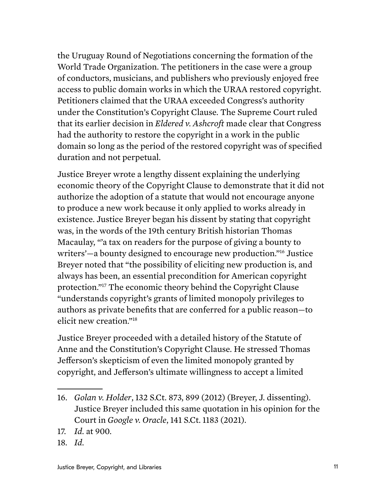the Uruguay Round of Negotiations concerning the formation of the World Trade Organization. The petitioners in the case were a group of conductors, musicians, and publishers who previously enjoyed free access to public domain works in which the URAA restored copyright. Petitioners claimed that the URAA exceeded Congress's authority under the Constitution's Copyright Clause. The Supreme Court ruled that its earlier decision in *Eldered v. Ashcroft* made clear that Congress had the authority to restore the copyright in a work in the public domain so long as the period of the restored copyright was of specified duration and not perpetual.

Justice Breyer wrote a lengthy dissent explaining the underlying economic theory of the Copyright Clause to demonstrate that it did not authorize the adoption of a statute that would not encourage anyone to produce a new work because it only applied to works already in existence. Justice Breyer began his dissent by stating that copyright was, in the words of the 19th century British historian Thomas Macaulay, "'a tax on readers for the purpose of giving a bounty to writers'—a bounty designed to encourage new production.["16](#page-10-0) Justice Breyer noted that "the possibility of eliciting new production is, and always has been, an essential precondition for American copyright protection."[17](#page-10-1) The economic theory behind the Copyright Clause "understands copyright's grants of limited monopoly privileges to authors as private benefits that are conferred for a public reason—to elicit new creation."[18](#page-10-2)

Justice Breyer proceeded with a detailed history of the Statute of Anne and the Constitution's Copyright Clause. He stressed Thomas Jefferson's skepticism of even the limited monopoly granted by copyright, and Jefferson's ultimate willingness to accept a limited

<span id="page-10-2"></span>18. *Id.*

<span id="page-10-0"></span><sup>16.</sup> *Golan v. Holder*, 132 S.Ct. 873, 899 (2012) (Breyer, J. dissenting). Justice Breyer included this same quotation in his opinion for the Court in *Google v. Oracle*, 141 S.Ct. 1183 (2021).

<span id="page-10-1"></span><sup>17.</sup> *Id.* at 900.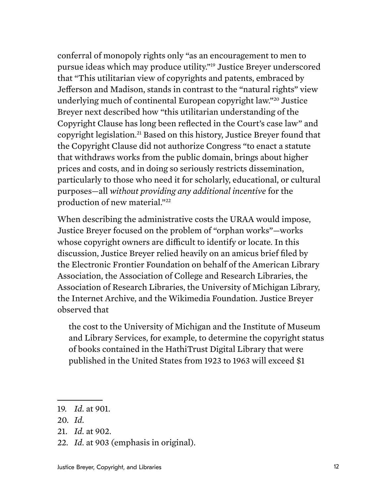conferral of monopoly rights only "as an encouragement to men to pursue ideas which may produce utility."[19](#page-11-0) Justice Breyer underscored that "This utilitarian view of copyrights and patents, embraced by Jefferson and Madison, stands in contrast to the "natural rights" view underlying much of continental European copyright law.["20](#page-11-1) Justice Breyer next described how "this utilitarian understanding of the Copyright Clause has long been reflected in the Court's case law" and copyright legislation[.21](#page-11-2) Based on this history, Justice Breyer found that the Copyright Clause did not authorize Congress "to enact a statute that withdraws works from the public domain, brings about higher prices and costs, and in doing so seriously restricts dissemination, particularly to those who need it for scholarly, educational, or cultural purposes—all *without providing any additional incentive* for the production of new material."<sup>22</sup>

When describing the administrative costs the URAA would impose, Justice Breyer focused on the problem of "orphan works"—works whose copyright owners are difficult to identify or locate. In this discussion, Justice Breyer relied heavily on an amicus brief filed by the Electronic Frontier Foundation on behalf of the American Library Association, the Association of College and Research Libraries, the Association of Research Libraries, the University of Michigan Library, the Internet Archive, and the Wikimedia Foundation. Justice Breyer observed that

the cost to the University of Michigan and the Institute of Museum and Library Services, for example, to determine the copyright status of books contained in the HathiTrust Digital Library that were published in the United States from 1923 to 1963 will exceed \$1

<span id="page-11-0"></span><sup>19.</sup> *Id.* at 901.

<span id="page-11-1"></span><sup>20.</sup> *Id.*

<span id="page-11-2"></span><sup>21.</sup> *Id.* at 902.

<span id="page-11-3"></span><sup>22.</sup> *Id.* at 903 (emphasis in original).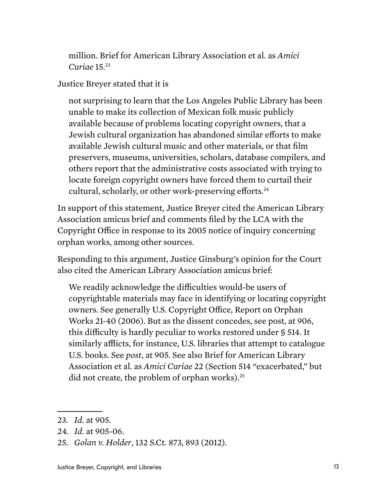million. Brief for American Library Association et al. as *Amici Curiae* 15.[23](#page-12-0)

Justice Breyer stated that it is

not surprising to learn that the Los Angeles Public Library has been unable to make its collection of Mexican folk music publicly available because of problems locating copyright owners, that a Jewish cultural organization has abandoned similar efforts to make available Jewish cultural music and other materials, or that film preservers, museums, universities, scholars, database compilers, and others report that the administrative costs associated with trying to locate foreign copyright owners have forced them to curtail their cultural, scholarly, or other work-preserving efforts.<sup>24</sup>

In support of this statement, Justice Breyer cited the American Library Association amicus brief and comments filed by the LCA with the Copyright Office in response to its 2005 notice of inquiry concerning orphan works, among other sources.

Responding to this argument, Justice Ginsburg's opinion for the Court also cited the American Library Association amicus brief:

We readily acknowledge the difficulties would-be users of copyrightable materials may face in identifying or locating copyright owners. See generally U.S. Copyright Office, Report on Orphan Works 21-40 (2006). But as the dissent concedes, see post, at 906, this difficulty is hardly peculiar to works restored under § 514. It similarly afflicts, for instance, U.S. libraries that attempt to catalogue U.S. books. See *post*, at 905. See also Brief for American Library Association et al. as *Amici Curiae* 22 (Section 514 "exacerbated," but did not create, the problem of orphan works).<sup>[25](#page-12-2)</sup>

<span id="page-12-0"></span><sup>23.</sup> *Id.* at 905.

<span id="page-12-1"></span><sup>24.</sup> *Id.* at 905-06.

<span id="page-12-2"></span><sup>25.</sup> *Golan v. Holder*, 132 S.Ct. 873, 893 (2012).